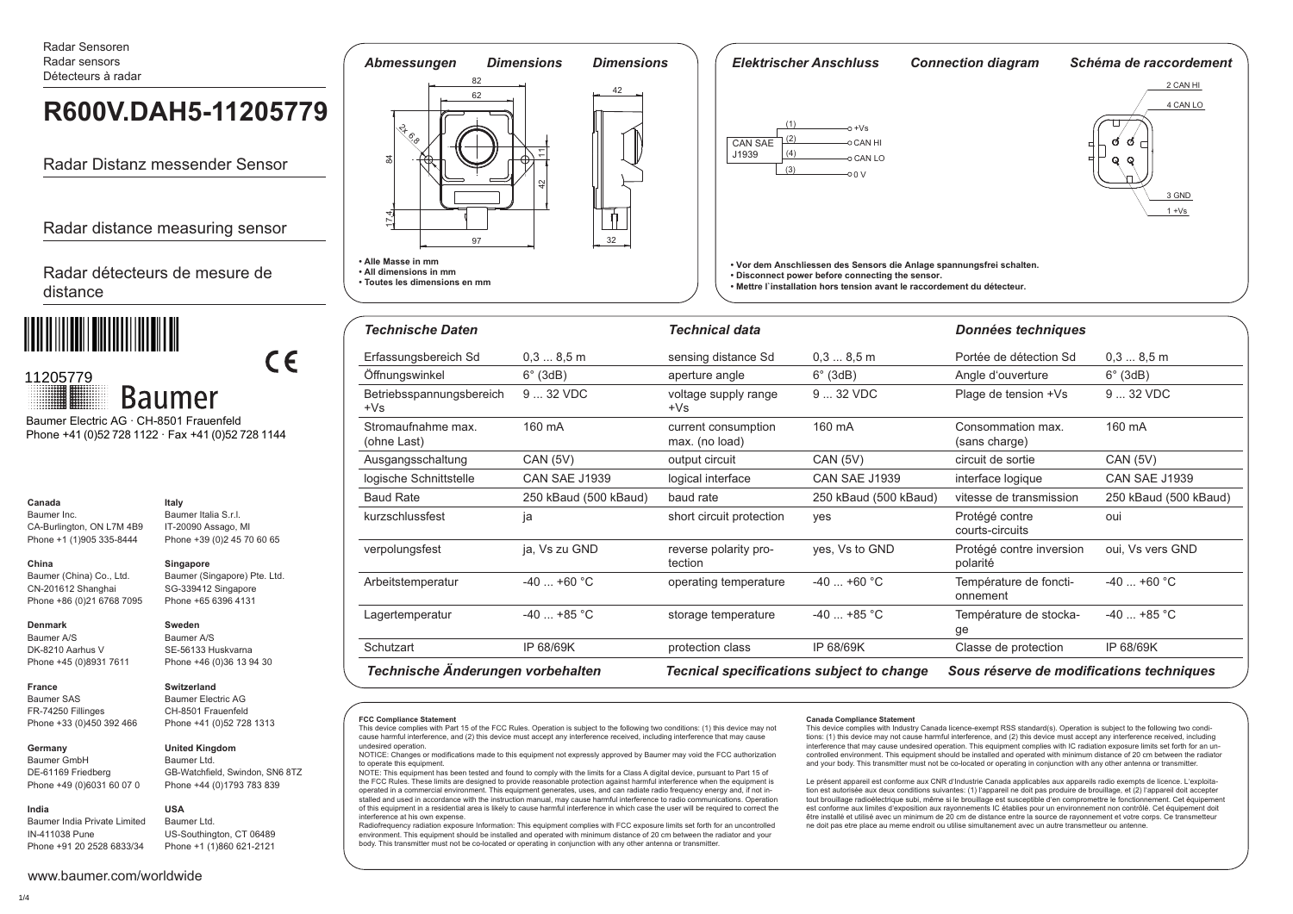Radar Sensoren Radar sensors Détecteurs à radar

# **R600V.DAH5-11205779**

Radar Distanz messender Sensor

Radar distance measuring sensor

Radar détecteurs de mesure de distance



 Phone +41 (0)52 728 1122 · Fax +41 (0)52 728 1144 Baumer Electric AG · CH-8501 Frauenfeld

> **Italy** Baumer Italia S.r.l. IT-20090 Assago, MI Phone +39 (0)2 45 70 60 65

 $\epsilon$ 

#### **Canada** Baumer Inc.

CA-Burlington, ON L7M 4B9 Phone +1 (1)905 335-8444

## **China**

Baumer (China) Co., Ltd. CN-201612 Shanghai Phone +86 (0)21 6768 7095 **Singapore** Baumer (Singapore) Pte. Ltd. SG-339412 Singapore Phone +65 6396 4131

## **Denmark**

**France** Baumer SAS FR-74250 Fillinges

**India**

Baumer A/S DK-8210 Aarhus V Phone +45 (0)8931 7611

# **Switzerland**

**United Kingdom**

Phone +33 (0)450 392 466 Baumer Electric AG CH-8501 Frauenfeld Phone +41 (0)52 728 1313

**USA**

**Sweden** Baumer A/S SE-56133 Huskvarna Phone +46 (0)36 13 94 30

**Germany**  Baumer GmbH DE-61169 Friedberg Phone +49 (0)6031 60 07 0

# Baumer Ltd.

GB-Watchfield, Swindon, SN6 8TZ Phone +44 (0)1793 783 839

Baumer India Private Limited IN-411038 Pune Phone +91 20 2528 6833/34 Baumer Ltd. US-Southington, CT 06489 Phone +1 (1)860 621-2121





| <b>Technische Daten</b>           |                       | <b>Technical data</b>                            |                       | Données techniques                       |                       |  |  |
|-----------------------------------|-----------------------|--------------------------------------------------|-----------------------|------------------------------------------|-----------------------|--|--|
| Erfassungsbereich Sd              | 0.38.5m               | sensing distance Sd                              | 0.38.5m               | Portée de détection Sd                   | 0.38.5m               |  |  |
| Öffnungswinkel                    | $6^\circ$ (3dB)       | aperture angle                                   | $6^\circ$ (3dB)       | Angle d'ouverture                        | $6^\circ$ (3dB)       |  |  |
| Betriebsspannungsbereich<br>$+Vs$ | 9  32 VDC             | voltage supply range<br>$+Vs$                    | 9  32 VDC             | Plage de tension +Vs                     | 9  32 VDC             |  |  |
| Stromaufnahme max.<br>(ohne Last) | 160 mA                | current consumption<br>max. (no load)            | 160 mA                | Consommation max.<br>(sans charge)       | 160 mA                |  |  |
| Ausgangsschaltung                 | <b>CAN (5V)</b>       | output circuit                                   | CAN (5V)              | circuit de sortie                        | <b>CAN (5V)</b>       |  |  |
| logische Schnittstelle            | CAN SAE J1939         | logical interface                                | <b>CAN SAE J1939</b>  | interface logique                        | <b>CAN SAE J1939</b>  |  |  |
| <b>Baud Rate</b>                  | 250 kBaud (500 kBaud) | baud rate                                        | 250 kBaud (500 kBaud) | vitesse de transmission                  | 250 kBaud (500 kBaud) |  |  |
| kurzschlussfest                   | ја                    | short circuit protection                         | yes                   | Protégé contre<br>courts-circuits        | oui                   |  |  |
| verpolungsfest                    | ja, Vs zu GND         | reverse polarity pro-<br>tection                 | yes, Vs to GND        | Protégé contre inversion<br>polarité     | oui, Vs vers GND      |  |  |
| Arbeitstemperatur                 | $-40$ +60 °C          | operating temperature                            | $-40$ +60 °C          | Température de foncti-<br>onnement       | $-40$ +60 °C          |  |  |
| $-40$ +85 °C<br>Lagertemperatur   |                       | storage temperature                              | $-40+85$ °C           | Température de stocka-<br>ge             | $-40$ +85 °C          |  |  |
| IP 68/69K<br>Schutzart            |                       | protection class                                 | IP 68/69K             | Classe de protection                     | IP 68/69K             |  |  |
| Technische Änderungen vorbehalten |                       | <b>Tecnical specifications subject to change</b> |                       | Sous réserve de modifications techniques |                       |  |  |

**FCC Compliance Statement**

This device complies with Part 15 of the FCC Rules. Operation is subject to the following two conditions: (1) this device may not cause harmful interference, and (2) this device must accept any interference received, including interference that may cause undesired operation.

NOTICE: Changes or modifications made to this equipment not expressly approved by Baumer may void the FCC authorization to operate this equipment.

NOTE: This equipment has been tested and found to comply with the limits for a Class A digital device, pursuant to Part 15 of the FCC Rules. These limits are designed to provide reasonable protection against harmful interference when the equipment is operated in a commercial environment. This equipment generates, uses, and can radiate radio frequency energy and, if not installed and used in accordance with the instruction manual, may cause harmful interference to radio communications. Operation of this equipment in a residential area is likely to cause harmful interference in which case the user will be required to correct the interference at his own expense.

Radiofrequency radiation exposure Information: This equipment complies with FCC exposure limits set forth for an uncontrolled environment. This equipment should be installed and operated with minimum distance of 20 cm between the radiator and your body. This transmitter must not be co-located or operating in conjunction with any other antenna or transmitter.

### **Canada Compliance Statement**

This device complies with Industry Canada licence-exempt RSS standard(s). Operation is subject to the following two conditions: (1) this device may not cause harmful interference, and (2) this device must accept any interference received, including interference that may cause undesired operation. This equipment complies with IC radiation exposure limits set forth for an uncontrolled environment. This equipment should be installed and operated with minimum distance of 20 cm between the radiator and your body. This transmitter must not be co-located or operating in conjunction with any other antenna or transmitter.

Le présent appareil est conforme aux CNR d'Industrie Canada applicables aux appareils radio exempts de licence. L'exploitation est autorisée aux deux conditions suivantes: (1) l'appareil ne doit pas produire de brouillage, et (2) l'appareil doit accepter tout brouillage radioélectrique subi, même si le brouillage est susceptible d'en compromettre le fonctionnement. Cet équipement est conforme aux limites d'exposition aux rayonnements IC établies pour un environnement non contrôlé. Cet équipement doit être installé et utilisé avec un minimum de 20 cm de distance entre la source de rayonnement et votre corps. Ce transmetteur ne doit pas etre place au meme endroit ou utilise simultanement avec un autre transmetteur ou antenne.

www.baumer.com/worldwide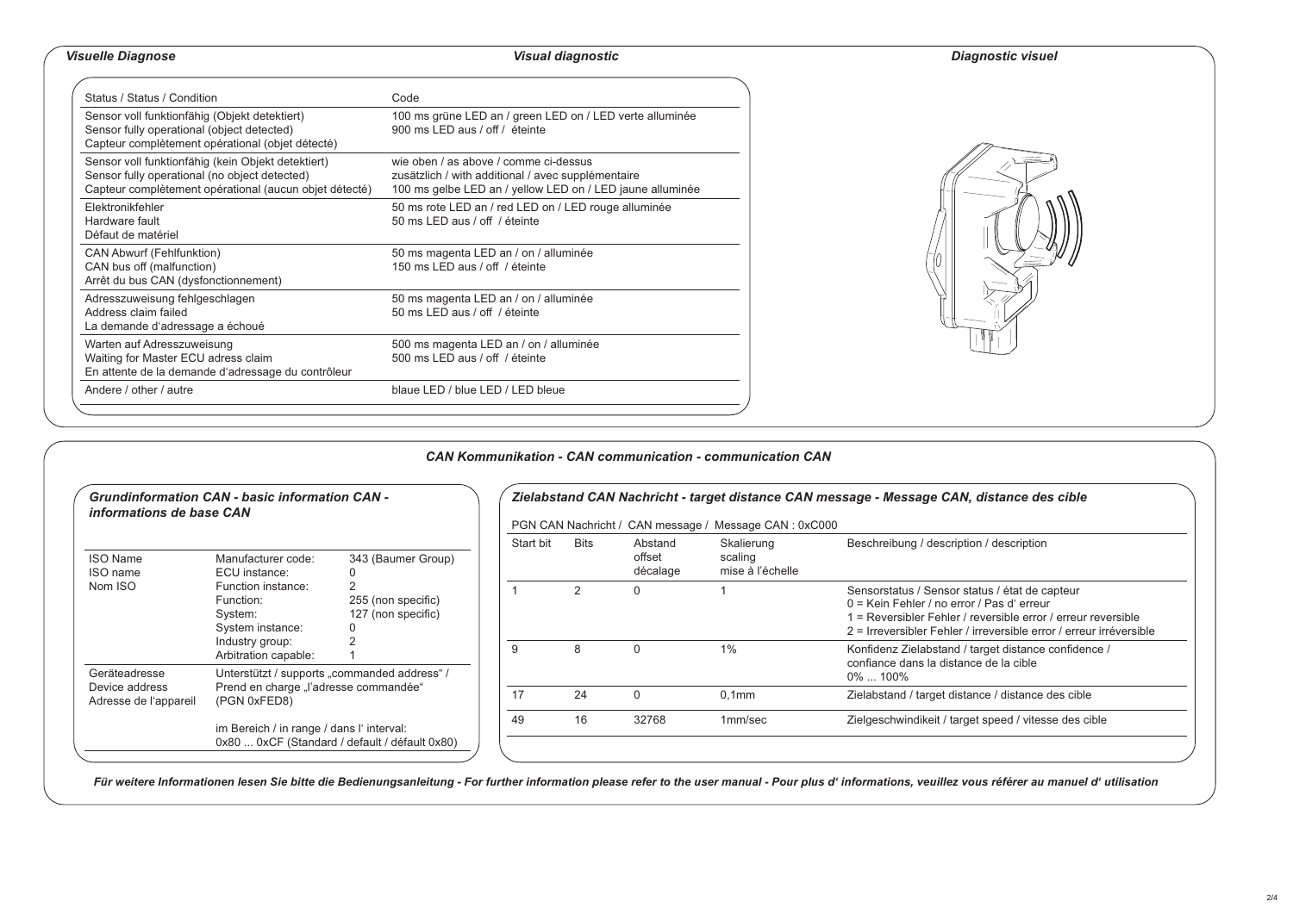## *Visuelle Diagnose Visual diagnostic Diagnostic visuel*

|  |  | Diagnostic visue |  |  |  |
|--|--|------------------|--|--|--|
|  |  |                  |  |  |  |

| Status / Status / Condition                                                                                                                                   | Code                                                                                                                                                     |
|---------------------------------------------------------------------------------------------------------------------------------------------------------------|----------------------------------------------------------------------------------------------------------------------------------------------------------|
| Sensor voll funktionfähig (Objekt detektiert)<br>Sensor fully operational (object detected)<br>Capteur complètement opérational (objet détecté)               | 100 ms grüne LED an / green LED on / LED verte alluminée<br>900 ms LED aus / off / éteinte                                                               |
| Sensor voll funktionfähig (kein Objekt detektiert)<br>Sensor fully operational (no object detected)<br>Capteur complètement opérational (aucun objet détecté) | wie oben / as above / comme ci-dessus<br>zusätzlich / with additional / avec supplémentaire<br>100 ms gelbe LED an / yellow LED on / LED jaune alluminée |
| Elektronikfehler<br>Hardware fault<br>Défaut de matériel                                                                                                      | 50 ms rote LED an / red LED on / LED rouge alluminée<br>50 ms LED aus / off / éteinte                                                                    |
| CAN Abwurf (Fehlfunktion)<br>CAN bus off (malfunction)<br>Arrêt du bus CAN (dysfonctionnement)                                                                | 50 ms magenta LED an / on / alluminée<br>150 ms LED aus / off / éteinte                                                                                  |
| Adresszuweisung fehlgeschlagen<br>Address claim failed<br>La demande d'adressage a échoué                                                                     | 50 ms magenta LED an / on / alluminée<br>50 ms LED aus / off / éteinte                                                                                   |
| Warten auf Adresszuweisung<br>Waiting for Master ECU adress claim<br>En attente de la demande d'adressage du contrôleur                                       | 500 ms magenta LED an / on / alluminée<br>500 ms LED aus / off / éteinte                                                                                 |
| Andere / other / autre                                                                                                                                        | blaue LED / blue LED / LED bleue                                                                                                                         |



## *CAN Kommunikation - CAN communication - communication CAN*

| informations de base CAN                | <b>Grundinformation CAN - basic information CAN -</b>                                      |                                                                |           |      |                               | PGN CAN Nachricht / CAN message / Message CAN: 0xC000 | Zielabstand CAN Nachricht - target distance CAN message - Message CAN, distance des cible                                                                                                                                           |  |  |
|-----------------------------------------|--------------------------------------------------------------------------------------------|----------------------------------------------------------------|-----------|------|-------------------------------|-------------------------------------------------------|-------------------------------------------------------------------------------------------------------------------------------------------------------------------------------------------------------------------------------------|--|--|
| <b>ISO Name</b><br>ISO name             | Manufacturer code:<br>ECU instance:                                                        | 343 (Baumer Group)<br>255 (non specific)<br>127 (non specific) | Start bit | Bits | Abstand<br>offset<br>décalage | Skalierung<br>scaling<br>mise à l'échelle             | Beschreibung / description / description                                                                                                                                                                                            |  |  |
| Nom ISO                                 | Function instance:<br>Function:<br>System:<br>System instance:                             |                                                                |           | 2    | $\Omega$                      |                                                       | Sensorstatus / Sensor status / état de capteur<br>0 = Kein Fehler / no error / Pas d'erreur<br>1 = Reversibler Fehler / reversible error / erreur reversible<br>2 = Irreversibler Fehler / irreversible error / erreur irréversible |  |  |
| Geräteadresse                           | Industry group:<br>Arbitration capable:<br>Unterstützt / supports "commanded address" /    |                                                                | 9         | 8    | $\Omega$                      | 1%                                                    | Konfidenz Zielabstand / target distance confidence /<br>confiance dans la distance de la cible<br>0%  100%                                                                                                                          |  |  |
| Device address<br>Adresse de l'appareil | Prend en charge "l'adresse commandée"<br>(PGN 0xFED8)                                      |                                                                | 17        | 24   | $\Omega$                      | 0.1 <sub>mm</sub>                                     | Zielabstand / target distance / distance des cible                                                                                                                                                                                  |  |  |
|                                         | im Bereich / in range / dans l'interval:<br>0x80  0xCF (Standard / default / défault 0x80) |                                                                | 49        | 16   | 32768                         | 1mm/sec                                               | Zielgeschwindikeit / target speed / vitesse des cible                                                                                                                                                                               |  |  |

*Für weitere Informationen lesen Sie bitte die Bedienungsanleitung - For further information please refer to the user manual - Pour plus d' informations, veuillez vous référer au manuel d' utilisation*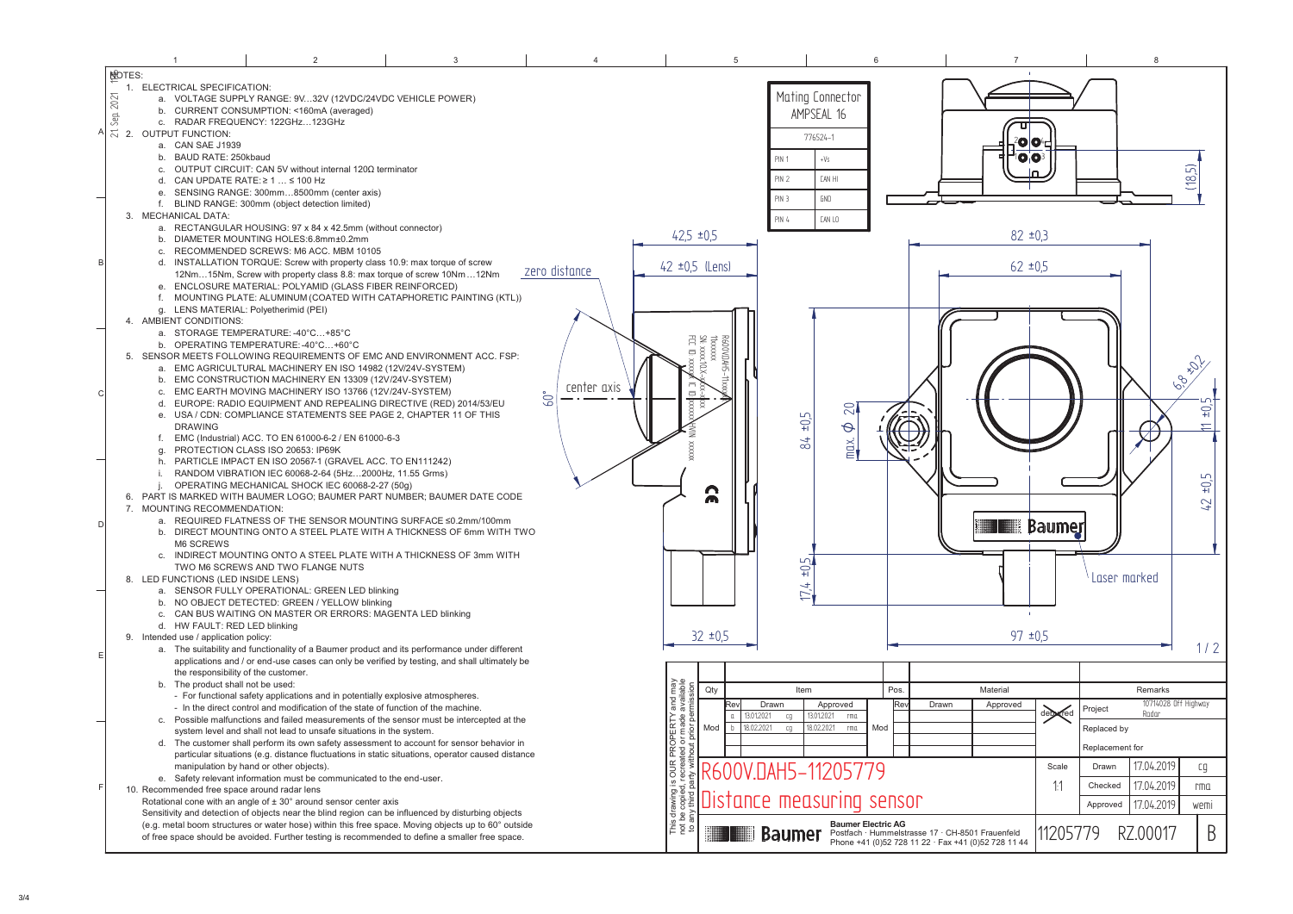